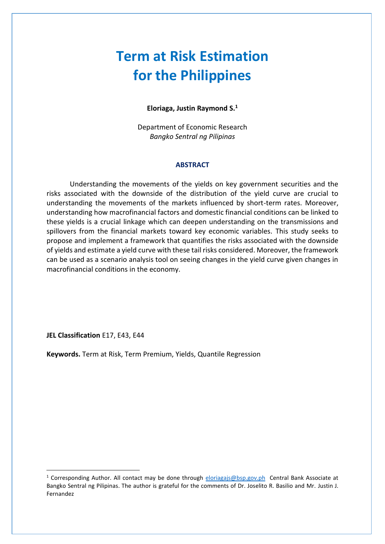# **Term at Risk Estimation for the Philippines**

#### **Eloriaga, Justin Raymond S.<sup>1</sup>**

Department of Economic Research *Bangko Sentral ng Pilipinas*

#### **ABSTRACT**

Understanding the movements of the yields on key government securities and the risks associated with the downside of the distribution of the yield curve are crucial to understanding the movements of the markets influenced by short-term rates. Moreover, understanding how macrofinancial factors and domestic financial conditions can be linked to these yields is a crucial linkage which can deepen understanding on the transmissions and spillovers from the financial markets toward key economic variables. This study seeks to propose and implement a framework that quantifies the risks associated with the downside of yields and estimate a yield curve with these tail risks considered. Moreover, the framework can be used as a scenario analysis tool on seeing changes in the yield curve given changes in macrofinancial conditions in the economy.

**JEL Classification** E17, E43, E44

**Keywords.** Term at Risk, Term Premium, Yields, Quantile Regression

<sup>&</sup>lt;sup>1</sup> Corresponding Author. All contact may be done through [eloriagajs@bsp.gov.ph](mailto:eloriagajs@bsp.gov.ph) Central Bank Associate at Bangko Sentral ng Pilipinas. The author is grateful for the comments of Dr. Joselito R. Basilio and Mr. Justin J. Fernandez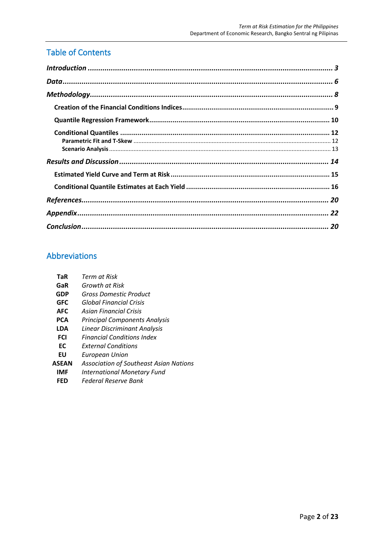# Table of Contents

## Abbreviations

| TaR        | Term at Risk                                  |
|------------|-----------------------------------------------|
| GaR        | Growth at Risk                                |
| GDP        | Gross Domestic Product                        |
| <b>GFC</b> | Global Financial Crisis                       |
| <b>AFC</b> | Asian Financial Crisis                        |
| PCA        | <b>Principal Components Analysis</b>          |
| LDA        | Linear Discriminant Analysis                  |
| FCI        | <b>Financial Conditions Index</b>             |
| ЕC         | <b>External Conditions</b>                    |
| EU         | European Union                                |
| ASEAN      | <b>Association of Southeast Asian Nations</b> |
| IMF        | <b>International Monetary Fund</b>            |
| FFD        | Federal Reserve Bank                          |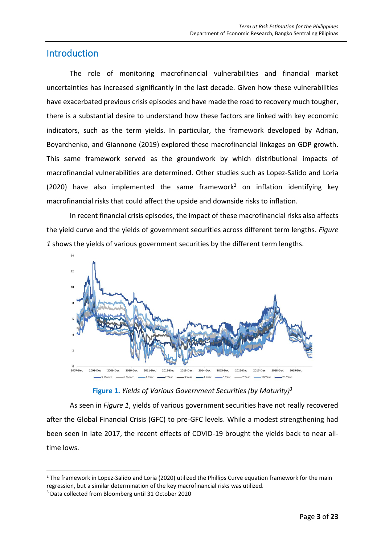### <span id="page-2-0"></span>**Introduction**

The role of monitoring macrofinancial vulnerabilities and financial market uncertainties has increased significantly in the last decade. Given how these vulnerabilities have exacerbated previous crisis episodes and have made the road to recovery much tougher, there is a substantial desire to understand how these factors are linked with key economic indicators, such as the term yields. In particular, the framework developed by Adrian, Boyarchenko, and Giannone (2019) explored these macrofinancial linkages on GDP growth. This same framework served as the groundwork by which distributional impacts of macrofinancial vulnerabilities are determined. Other studies such as Lopez-Salido and Loria (2020) have also implemented the same framework<sup>2</sup> on inflation identifying key macrofinancial risks that could affect the upside and downside risks to inflation.

In recent financial crisis episodes, the impact of these macrofinancial risks also affects the yield curve and the yields of government securities across different term lengths. *Figure 1* shows the yields of various government securities by the different term lengths.



**Figure 1.** *Yields of Various Government Securities (by Maturity) 3*

As seen in *Figure 1*, yields of various government securities have not really recovered after the Global Financial Crisis (GFC) to pre-GFC levels. While a modest strengthening had been seen in late 2017, the recent effects of COVID-19 brought the yields back to near alltime lows.

<sup>&</sup>lt;sup>2</sup> The framework in Lopez-Salido and Loria (2020) utilized the Phillips Curve equation framework for the main regression, but a similar determination of the key macrofinancial risks was utilized.

<sup>3</sup> Data collected from Bloomberg until 31 October 2020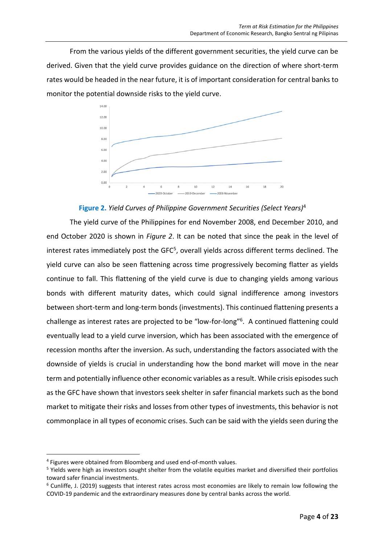From the various yields of the different government securities, the yield curve can be derived. Given that the yield curve provides guidance on the direction of where short-term rates would be headed in the near future, it is of important consideration for central banks to monitor the potential downside risks to the yield curve.



**Figure 2.** *Yield Curves of Philippine Government Securities (Select Years)*<sup>4</sup>

The yield curve of the Philippines for end November 2008, end December 2010, and end October 2020 is shown in *Figure 2*. It can be noted that since the peak in the level of interest rates immediately post the GFC<sup>5</sup>, overall yields across different terms declined. The yield curve can also be seen flattening across time progressively becoming flatter as yields continue to fall. This flattening of the yield curve is due to changing yields among various bonds with different maturity dates, which could signal indifference among investors between short-term and long-term bonds (investments). This continued flattening presents a challenge as interest rates are projected to be "low-for-long"<sup>6</sup>. A continued flattening could eventually lead to a yield curve inversion, which has been associated with the emergence of recession months after the inversion. As such, understanding the factors associated with the downside of yields is crucial in understanding how the bond market will move in the near term and potentially influence other economic variables as a result. While crisis episodes such as the GFC have shown that investors seek shelter in safer financial markets such as the bond market to mitigate their risks and losses from other types of investments, this behavior is not commonplace in all types of economic crises. Such can be said with the yields seen during the

<sup>4</sup> Figures were obtained from Bloomberg and used end-of-month values.

<sup>&</sup>lt;sup>5</sup> Yields were high as investors sought shelter from the volatile equities market and diversified their portfolios toward safer financial investments.

 $6$  Cunliffe, J. (2019) suggests that interest rates across most economies are likely to remain low following the COVID-19 pandemic and the extraordinary measures done by central banks across the world.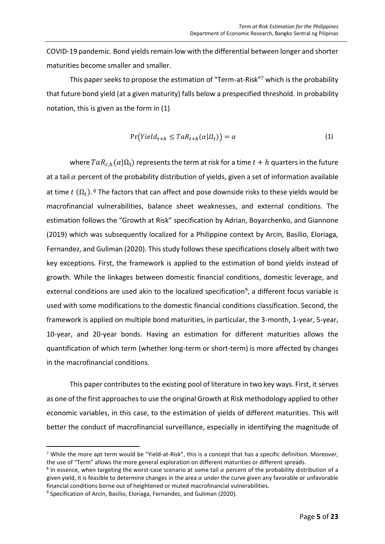COVID-19 pandemic. Bond yields remain low with the differential between longer and shorter maturities become smaller and smaller.

This paper seeks to propose the estimation of "Term-at-Risk"<sup>7</sup> which is the probability that future bond yield (at a given maturity) falls below a prespecified threshold. In probability notation, this is given as the form in (1)

$$
Pr(Yield_{t+h} \leq TaR_{t+h}(\alpha|\Omega_t)) = \alpha
$$
\n(1)

where  $TaR_{ch}(\alpha|\Omega_t)$  represents the term at risk for a time  $t + h$  quarters in the future at a tail  $\alpha$  percent of the probability distribution of yields, given a set of information available at time  $t$   $(\Omega_t)$ . <sup>8</sup> The factors that can affect and pose downside risks to these yields would be macrofinancial vulnerabilities, balance sheet weaknesses, and external conditions. The estimation follows the "Growth at Risk" specification by Adrian, Boyarchenko, and Giannone (2019) which was subsequently localized for a Philippine context by Arcin, Basilio, Eloriaga, Fernandez, and Guliman (2020). This study follows these specifications closely albeit with two key exceptions. First, the framework is applied to the estimation of bond yields instead of growth. While the linkages between domestic financial conditions, domestic leverage, and external conditions are used akin to the localized specification<sup>9</sup>, a different focus variable is used with some modifications to the domestic financial conditions classification. Second, the framework is applied on multiple bond maturities, in particular, the 3-month, 1-year, 5-year, 10-year, and 20-year bonds. Having an estimation for different maturities allows the quantification of which term (whether long-term or short-term) is more affected by changes in the macrofinancial conditions.

This paper contributes to the existing pool of literature in two key ways. First, it serves as one of the first approaches to use the original Growth at Risk methodology applied to other economic variables, in this case, to the estimation of yields of different maturities. This will better the conduct of macrofinancial surveillance, especially in identifying the magnitude of

 $7$  While the more apt term would be "Yield-at-Risk", this is a concept that has a specific definition. Moreover, the use of "Term" allows the more general exploration on different maturities or different spreads.

<sup>&</sup>lt;sup>8</sup> In essence, when targeting the worst-case scenario at some tail  $\alpha$  percent of the probability distribution of a given yield, it is feasible to determine changes in the area  $\alpha$  under the curve given any favorable or unfavorable financial conditions borne out of heightened or muted macrofinancial vulnerabilities.

<sup>&</sup>lt;sup>9</sup> Specification of Arcin, Basilio, Eloriaga, Fernandez, and Guliman (2020).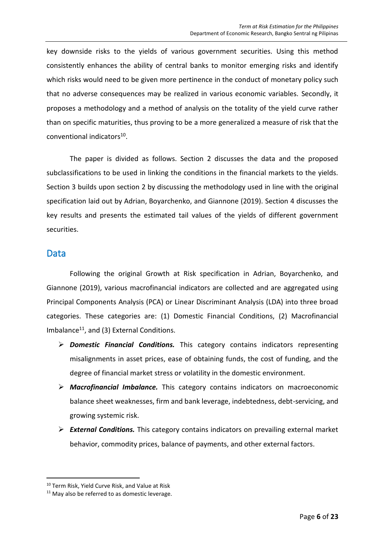key downside risks to the yields of various government securities. Using this method consistently enhances the ability of central banks to monitor emerging risks and identify which risks would need to be given more pertinence in the conduct of monetary policy such that no adverse consequences may be realized in various economic variables. Secondly, it proposes a methodology and a method of analysis on the totality of the yield curve rather than on specific maturities, thus proving to be a more generalized a measure of risk that the conventional indicators<sup>10</sup>.

The paper is divided as follows. Section 2 discusses the data and the proposed subclassifications to be used in linking the conditions in the financial markets to the yields. Section 3 builds upon section 2 by discussing the methodology used in line with the original specification laid out by Adrian, Boyarchenko, and Giannone (2019). Section 4 discusses the key results and presents the estimated tail values of the yields of different government securities.

### <span id="page-5-0"></span>Data

Following the original Growth at Risk specification in Adrian, Boyarchenko, and Giannone (2019), various macrofinancial indicators are collected and are aggregated using Principal Components Analysis (PCA) or Linear Discriminant Analysis (LDA) into three broad categories. These categories are: (1) Domestic Financial Conditions, (2) Macrofinancial Imbalance<sup>11</sup>, and (3) External Conditions.

- ➢ *Domestic Financial Conditions.* This category contains indicators representing misalignments in asset prices, ease of obtaining funds, the cost of funding, and the degree of financial market stress or volatility in the domestic environment.
- ➢ *Macrofinancial Imbalance.* This category contains indicators on macroeconomic balance sheet weaknesses, firm and bank leverage, indebtedness, debt-servicing, and growing systemic risk.
- ➢ *External Conditions.* This category contains indicators on prevailing external market behavior, commodity prices, balance of payments, and other external factors.

<sup>10</sup> Term Risk, Yield Curve Risk, and Value at Risk

 $11$  May also be referred to as domestic leverage.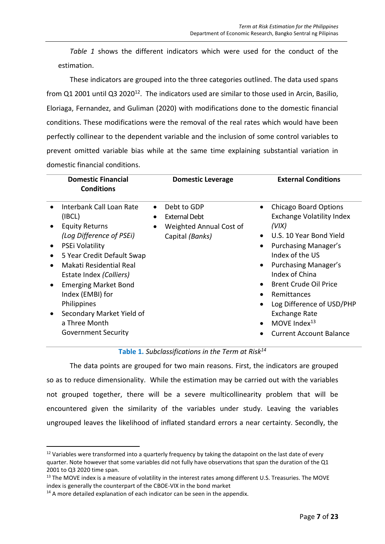*Table 1* shows the different indicators which were used for the conduct of the estimation.

These indicators are grouped into the three categories outlined. The data used spans from Q1 2001 until Q3 2020<sup>12</sup>. The indicators used are similar to those used in Arcin, Basilio, Eloriaga, Fernandez, and Guliman (2020) with modifications done to the domestic financial conditions. These modifications were the removal of the real rates which would have been perfectly collinear to the dependent variable and the inclusion of some control variables to prevent omitted variable bias while at the same time explaining substantial variation in domestic financial conditions.

| <b>Domestic Financial</b><br><b>Conditions</b>                                                                                                                                                                                                                                                                                                            | <b>Domestic Leverage</b>                                                                | <b>External Conditions</b>                                                                                                                                                                                                                                                                                                                                                                         |
|-----------------------------------------------------------------------------------------------------------------------------------------------------------------------------------------------------------------------------------------------------------------------------------------------------------------------------------------------------------|-----------------------------------------------------------------------------------------|----------------------------------------------------------------------------------------------------------------------------------------------------------------------------------------------------------------------------------------------------------------------------------------------------------------------------------------------------------------------------------------------------|
| Interbank Call Loan Rate<br>(IBCL)<br><b>Equity Returns</b><br>(Log Difference of PSEI)<br>PSEi Volatility<br>5 Year Credit Default Swap<br>$\bullet$<br>Makati Residential Real<br>Estate Index (Colliers)<br><b>Emerging Market Bond</b><br>Index (EMBI) for<br>Philippines<br>Secondary Market Yield of<br>a Three Month<br><b>Government Security</b> | Debt to GDP<br>External Debt<br>Weighted Annual Cost of<br>$\bullet$<br>Capital (Banks) | <b>Chicago Board Options</b><br>$\bullet$<br><b>Exchange Volatility Index</b><br>(V <sub>IX</sub> )<br>U.S. 10 Year Bond Yield<br>Purchasing Manager's<br>Index of the US<br>Purchasing Manager's<br>Index of China<br><b>Brent Crude Oil Price</b><br>Remittances<br>$\bullet$<br>Log Difference of USD/PHP<br><b>Exchange Rate</b><br>MOVE Index <sup>13</sup><br><b>Current Account Balance</b> |

**Table 1.** *Subclassifications in the Term at Risk<sup>14</sup>*

The data points are grouped for two main reasons. First, the indicators are grouped so as to reduce dimensionality. While the estimation may be carried out with the variables not grouped together, there will be a severe multicollinearity problem that will be encountered given the similarity of the variables under study. Leaving the variables ungrouped leaves the likelihood of inflated standard errors a near certainty. Secondly, the

<sup>&</sup>lt;sup>12</sup> Variables were transformed into a quarterly frequency by taking the datapoint on the last date of every quarter. Note however that some variables did not fully have observations that span the duration of the Q1 2001 to Q3 2020 time span.

<sup>&</sup>lt;sup>13</sup> The MOVE index is a measure of volatility in the interest rates among different U.S. Treasuries. The MOVE index is generally the counterpart of the CBOE-VIX in the bond market

<sup>&</sup>lt;sup>14</sup> A more detailed explanation of each indicator can be seen in the appendix.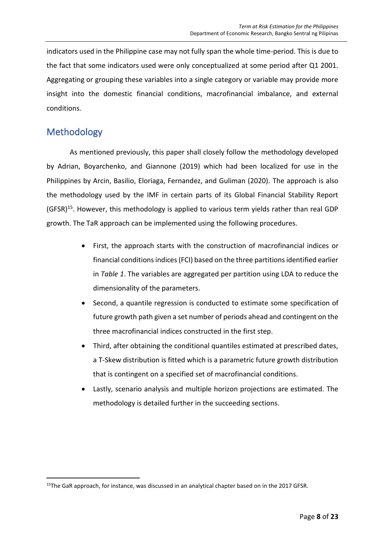indicators used in the Philippine case may not fully span the whole time-period. This is due to the fact that some indicators used were only conceptualized at some period after Q1 2001. Aggregating or grouping these variables into a single category or variable may provide more insight into the domestic financial conditions, macrofinancial imbalance, and external conditions.

# <span id="page-7-0"></span>Methodology

As mentioned previously, this paper shall closely follow the methodology developed by Adrian, Boyarchenko, and Giannone (2019) which had been localized for use in the Philippines by Arcin, Basilio, Eloriaga, Fernandez, and Guliman (2020). The approach is also the methodology used by the IMF in certain parts of its Global Financial Stability Report (GFSR)<sup>15</sup>. However, this methodology is applied to various term yields rather than real GDP growth. The TaR approach can be implemented using the following procedures.

- First, the approach starts with the construction of macrofinancial indices or financial conditions indices (FCI) based on the three partitions identified earlier in *Table 1*. The variables are aggregated per partition using LDA to reduce the dimensionality of the parameters.
- Second, a quantile regression is conducted to estimate some specification of future growth path given a set number of periods ahead and contingent on the three macrofinancial indices constructed in the first step.
- Third, after obtaining the conditional quantiles estimated at prescribed dates, a T-Skew distribution is fitted which is a parametric future growth distribution that is contingent on a specified set of macrofinancial conditions.
- Lastly, scenario analysis and multiple horizon projections are estimated. The methodology is detailed further in the succeeding sections.

<sup>&</sup>lt;sup>15</sup>The GaR approach, for instance, was discussed in an analytical chapter based on in the 2017 GFSR.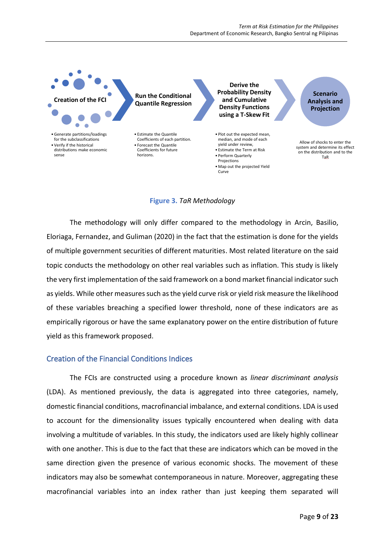

#### **Figure 3.** *TaR Methodology*

The methodology will only differ compared to the methodology in Arcin, Basilio, Eloriaga, Fernandez, and Guliman (2020) in the fact that the estimation is done for the yields of multiple government securities of different maturities. Most related literature on the said topic conducts the methodology on other real variables such as inflation. This study is likely the very first implementation of the said framework on a bond market financial indicator such as yields. While other measures such as the yield curve risk or yield risk measure the likelihood of these variables breaching a specified lower threshold, none of these indicators are as empirically rigorous or have the same explanatory power on the entire distribution of future yield as this framework proposed.

#### <span id="page-8-0"></span>Creation of the Financial Conditions Indices

The FCIs are constructed using a procedure known as *linear discriminant analysis* (LDA). As mentioned previously, the data is aggregated into three categories, namely, domestic financial conditions, macrofinancial imbalance, and external conditions. LDA is used to account for the dimensionality issues typically encountered when dealing with data involving a multitude of variables. In this study, the indicators used are likely highly collinear with one another. This is due to the fact that these are indicators which can be moved in the same direction given the presence of various economic shocks. The movement of these indicators may also be somewhat contemporaneous in nature. Moreover, aggregating these macrofinancial variables into an index rather than just keeping them separated will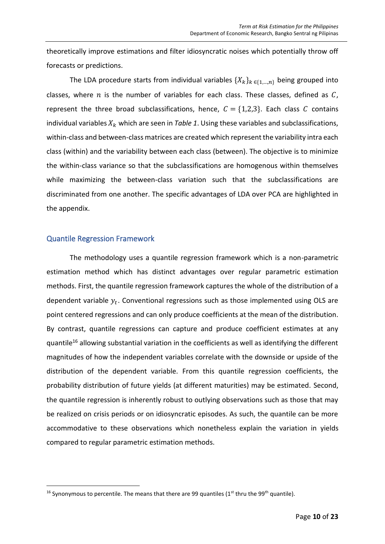theoretically improve estimations and filter idiosyncratic noises which potentially throw off forecasts or predictions.

The LDA procedure starts from individual variables  $\{X_k\}_{k \in \{1,\ldots,n\}}$  being grouped into classes, where  $n$  is the number of variables for each class. These classes, defined as  $C$ , represent the three broad subclassifications, hence,  $C = \{1,2,3\}$ . Each class C contains individual variables  $X_k$  which are seen in *Table 1*. Using these variables and subclassifications, within-class and between-class matrices are created which represent the variability intra each class (within) and the variability between each class (between). The objective is to minimize the within-class variance so that the subclassifications are homogenous within themselves while maximizing the between-class variation such that the subclassifications are discriminated from one another. The specific advantages of LDA over PCA are highlighted in the appendix.

#### <span id="page-9-0"></span>Quantile Regression Framework

The methodology uses a quantile regression framework which is a non-parametric estimation method which has distinct advantages over regular parametric estimation methods. First, the quantile regression framework captures the whole of the distribution of a dependent variable  $y_t$ . Conventional regressions such as those implemented using OLS are point centered regressions and can only produce coefficients at the mean of the distribution. By contrast, quantile regressions can capture and produce coefficient estimates at any quantile<sup>16</sup> allowing substantial variation in the coefficients as well as identifying the different magnitudes of how the independent variables correlate with the downside or upside of the distribution of the dependent variable. From this quantile regression coefficients, the probability distribution of future yields (at different maturities) may be estimated. Second, the quantile regression is inherently robust to outlying observations such as those that may be realized on crisis periods or on idiosyncratic episodes. As such, the quantile can be more accommodative to these observations which nonetheless explain the variation in yields compared to regular parametric estimation methods.

<sup>&</sup>lt;sup>16</sup> Synonymous to percentile. The means that there are 99 quantiles ( $1<sup>st</sup>$  thru the 99<sup>th</sup> quantile).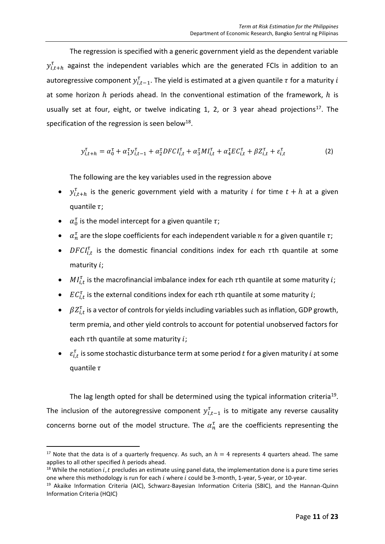The regression is specified with a generic government yield as the dependent variable  $y_{i,t+h}^{\tau}$  against the independent variables which are the generated FCIs in addition to an autoregressive component  $y_{i,t-1}^{\tau}$ . The yield is estimated at a given quantile  $\tau$  for a maturity  $i$ at some horizon  $h$  periods ahead. In the conventional estimation of the framework,  $h$  is usually set at four, eight, or twelve indicating 1, 2, or 3 year ahead projections<sup>17</sup>. The specification of the regression is seen below<sup>18</sup>.

$$
y_{i,t+h}^{\tau} = \alpha_0^{\tau} + \alpha_1^{\tau} y_{i,t-1}^{\tau} + \alpha_2^{\tau} DFCI_{i,t}^{\tau} + \alpha_3^{\tau} M I_{i,t}^{\tau} + \alpha_4^{\tau} E C_{i,t}^{\tau} + \beta Z_{i,t}^{\tau} + \varepsilon_{i,t}^{\tau}
$$
 (2)

The following are the key variables used in the regression above

- $y_{i,t+h}^{\tau}$  is the generic government yield with a maturity *i* for time  $t + h$  at a given quantile  $\tau$ ;
- $\alpha_0^{\tau}$  is the model intercept for a given quantile  $\tau$ ;
- $\alpha_n^{\tau}$  are the slope coefficients for each independent variable  $n$  for a given quantile  $\tau$ ;
- DFCI<sub>it</sub> is the domestic financial conditions index for each  $\tau$ th quantile at some maturity i;
- $\bullet$   $MI_{i,t}^{\tau}$  is the macrofinancial imbalance index for each  $\tau$ th quantile at some maturity *i*;
- $\mathit{EC}^\tau_{i,t}$  is the external conditions index for each  $\tau$ th quantile at some maturity  $i;$
- $\beta Z_{i,t}^{\tau}$  is a vector of controls for yields including variables such as inflation, GDP growth, term premia, and other yield controls to account for potential unobserved factors for each  $\tau$ th quantile at some maturity i;
- $\bullet$   $\varepsilon_{i,t}^{\tau}$  is some stochastic disturbance term at some period t for a given maturity i at some quantile  $\tau$

The lag length opted for shall be determined using the typical information criteria<sup>19</sup>. The inclusion of the autoregressive component  $y_{i,t-1}^{\tau}$  is to mitigate any reverse causality concerns borne out of the model structure. The  $\alpha_n^{\tau}$  are the coefficients representing the

<sup>&</sup>lt;sup>17</sup> Note that the data is of a quarterly frequency. As such, an  $h = 4$  represents 4 quarters ahead. The same applies to all other specified  $h$  periods ahead.

<sup>&</sup>lt;sup>18</sup> While the notation *i, t* precludes an estimate using panel data, the implementation done is a pure time series one where this methodology is run for each i where i could be 3-month, 1-year, 5-year, or 10-year.

<sup>&</sup>lt;sup>19</sup> Akaike Information Criteria (AIC), Schwarz-Bayesian Information Criteria (SBIC), and the Hannan-Quinn Information Criteria (HQIC)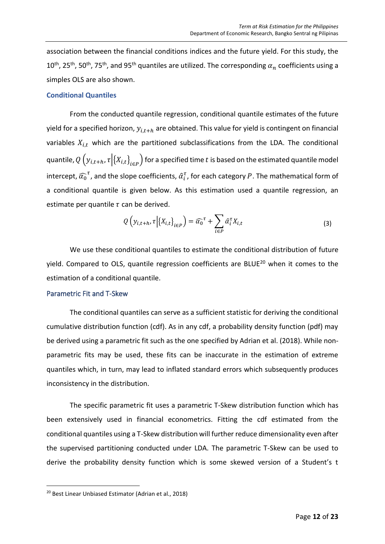association between the financial conditions indices and the future yield. For this study, the  $10^{\text{th}}$ , 25<sup>th</sup>, 50<sup>th</sup>, 75<sup>th</sup>, and 95<sup>th</sup> quantiles are utilized. The corresponding  $\alpha_n$  coefficients using a simples OLS are also shown.

#### <span id="page-11-0"></span>**Conditional Quantiles**

From the conducted quantile regression, conditional quantile estimates of the future yield for a specified horizon,  $y_{i,t+h}$  are obtained. This value for yield is contingent on financial variables  $X_{i,t}$  which are the partitioned subclassifications from the LDA. The conditional quantile,  $Q\left(y_{i,t+h}, \tau \big| \{X_{i,t}\}_{t \in P}\right)$  for a specified time  $t$  is based on the estimated quantile model intercept,  $\widehat{\alpha_0}^\tau$ , and the slope coefficients,  $\widehat{\alpha}_i^\tau$ , for each category  $P.$  The mathematical form of a conditional quantile is given below. As this estimation used a quantile regression, an estimate per quantile  $\tau$  can be derived.

$$
Q\left(y_{i,t+h}, \tau \middle| \{X_{i,t}\}_{t \in P}\right) = \widehat{\alpha_0}^{\tau} + \sum_{i \in P} \widehat{\alpha}_i^{\tau} X_{i,t} \tag{3}
$$

We use these conditional quantiles to estimate the conditional distribution of future yield. Compared to OLS, quantile regression coefficients are BLUE<sup>20</sup> when it comes to the estimation of a conditional quantile.

#### <span id="page-11-1"></span>Parametric Fit and T-Skew

The conditional quantiles can serve as a sufficient statistic for deriving the conditional cumulative distribution function (cdf). As in any cdf, a probability density function (pdf) may be derived using a parametric fit such as the one specified by Adrian et al. (2018). While nonparametric fits may be used, these fits can be inaccurate in the estimation of extreme quantiles which, in turn, may lead to inflated standard errors which subsequently produces inconsistency in the distribution.

The specific parametric fit uses a parametric T-Skew distribution function which has been extensively used in financial econometrics. Fitting the cdf estimated from the conditional quantiles using a T-Skew distribution will further reduce dimensionality even after the supervised partitioning conducted under LDA. The parametric T-Skew can be used to derive the probability density function which is some skewed version of a Student's t

<sup>20</sup> Best Linear Unbiased Estimator (Adrian et al., 2018)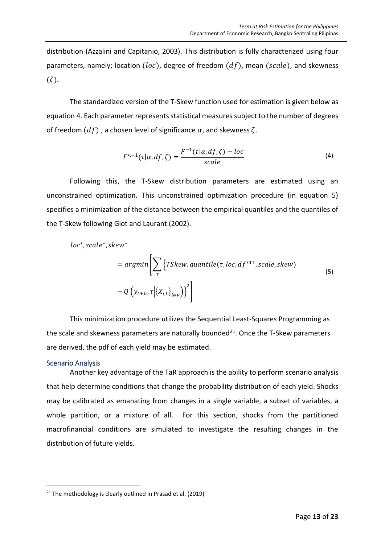distribution (Azzalini and Capitanio, 2003). This distribution is fully characterized using four parameters, namely; location (loc), degree of freedom  $(df)$ , mean (scale), and skewness  $(\zeta).$ 

The standardized version of the T-Skew function used for estimation is given below as equation 4. Each parameter represents statistical measures subject to the number of degrees of freedom  $(df)$ , a chosen level of significance  $\alpha$ , and skewness  $\zeta$ .

$$
F^{*,-1}(\tau|\alpha, df, \zeta) = \frac{F^{-1}(\tau|\alpha, df, \zeta) - loc}{scale}
$$
 (4)

Following this, the T-Skew distribution parameters are estimated using an unconstrained optimization. This unconstrained optimization procedure (in equation 5) specifies a minimization of the distance between the empirical quantiles and the quantiles of the T-Skew following Giot and Laurant (2002).

$$
loc^*, scale^*, skew^*
$$
  
=  $argmin \left[ \sum_{\tau} \left\{ TSkew. quantile(\tau, loc, df^{*11}, scale, skew) - Q\left(y_{t+h}, \tau \middle| \{X_{i,t}\}_{t \in P}\right) \right\}^2 \right]$  (5)

This minimization procedure utilizes the Sequential Least-Squares Programming as the scale and skewness parameters are naturally bounded $^{21}$ . Once the T-Skew parameters are derived, the pdf of each yield may be estimated.

#### <span id="page-12-0"></span>Scenario Analysis

Another key advantage of the TaR approach is the ability to perform scenario analysis that help determine conditions that change the probability distribution of each yield. Shocks may be calibrated as emanating from changes in a single variable, a subset of variables, a whole partition, or a mixture of all. For this section, shocks from the partitioned macrofinancial conditions are simulated to investigate the resulting changes in the distribution of future yields.

 $21$  The methodology is clearly outlined in Prasad et al. (2019)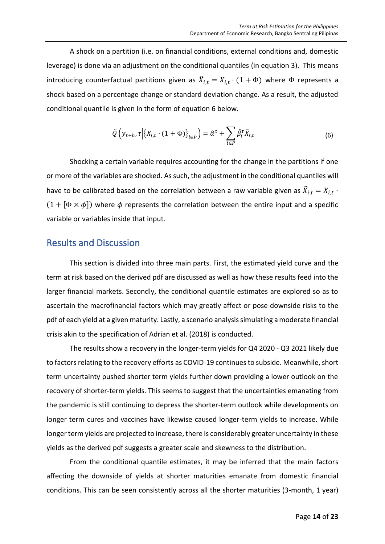A shock on a partition (i.e. on financial conditions, external conditions and, domestic leverage) is done via an adjustment on the conditional quantiles (in equation 3). This means introducing counterfactual partitions given as  $\tilde{X}_{i,t} = X_{i,t} \cdot (1 + \Phi)$  where  $\Phi$  represents a shock based on a percentage change or standard deviation change. As a result, the adjusted conditional quantile is given in the form of equation 6 below.

$$
\tilde{Q}\left(y_{t+h}, \tau \middle| \{X_{i,t} \cdot (1+\Phi)\}_{t \in P}\right) = \hat{\alpha}^{\tau} + \sum_{i \in P} \hat{\beta}_i^{\tau} \tilde{X}_{i,t}
$$
\n(6)

Shocking a certain variable requires accounting for the change in the partitions if one or more of the variables are shocked. As such, the adjustment in the conditional quantiles will have to be calibrated based on the correlation between a raw variable given as  $\tilde{X}_{i,t} = X_{i,t}$  .  $(1 + [\Phi \times \phi])$  where  $\phi$  represents the correlation between the entire input and a specific variable or variables inside that input.

### <span id="page-13-0"></span>Results and Discussion

This section is divided into three main parts. First, the estimated yield curve and the term at risk based on the derived pdf are discussed as well as how these results feed into the larger financial markets. Secondly, the conditional quantile estimates are explored so as to ascertain the macrofinancial factors which may greatly affect or pose downside risks to the pdf of each yield at a given maturity. Lastly, a scenario analysis simulating a moderate financial crisis akin to the specification of Adrian et al. (2018) is conducted.

The results show a recovery in the longer-term yields for Q4 2020 - Q3 2021 likely due to factors relating to the recovery efforts as COVID-19 continues to subside. Meanwhile, short term uncertainty pushed shorter term yields further down providing a lower outlook on the recovery of shorter-term yields. This seems to suggest that the uncertainties emanating from the pandemic is still continuing to depress the shorter-term outlook while developments on longer term cures and vaccines have likewise caused longer-term yields to increase. While longer term yields are projected to increase, there is considerably greater uncertainty in these yields as the derived pdf suggests a greater scale and skewness to the distribution.

From the conditional quantile estimates, it may be inferred that the main factors affecting the downside of yields at shorter maturities emanate from domestic financial conditions. This can be seen consistently across all the shorter maturities (3-month, 1 year)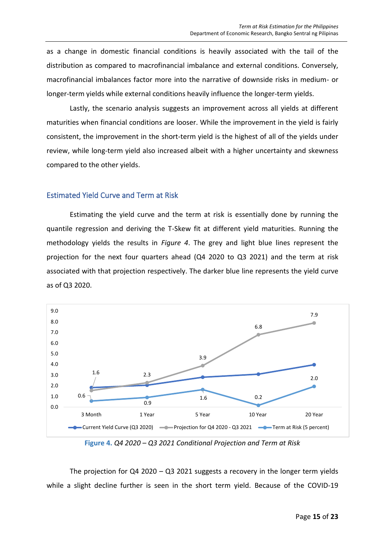as a change in domestic financial conditions is heavily associated with the tail of the distribution as compared to macrofinancial imbalance and external conditions. Conversely, macrofinancial imbalances factor more into the narrative of downside risks in medium- or longer-term yields while external conditions heavily influence the longer-term yields.

Lastly, the scenario analysis suggests an improvement across all yields at different maturities when financial conditions are looser. While the improvement in the yield is fairly consistent, the improvement in the short-term yield is the highest of all of the yields under review, while long-term yield also increased albeit with a higher uncertainty and skewness compared to the other yields.

#### <span id="page-14-0"></span>Estimated Yield Curve and Term at Risk

Estimating the yield curve and the term at risk is essentially done by running the quantile regression and deriving the T-Skew fit at different yield maturities. Running the methodology yields the results in *Figure 4*. The grey and light blue lines represent the projection for the next four quarters ahead (Q4 2020 to Q3 2021) and the term at risk associated with that projection respectively. The darker blue line represents the yield curve as of Q3 2020.



**Figure 4.** *Q4 2020 – Q3 2021 Conditional Projection and Term at Risk*

The projection for  $Q4 \, 2020 - Q3 \, 2021$  suggests a recovery in the longer term yields while a slight decline further is seen in the short term yield. Because of the COVID-19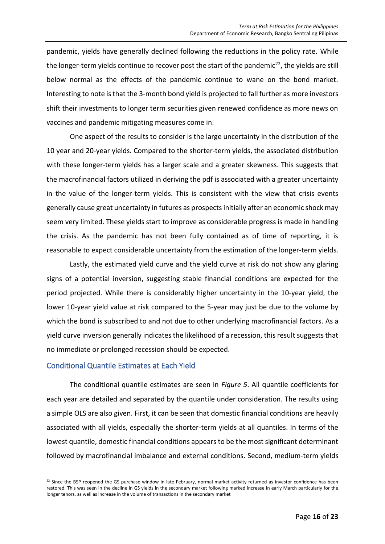pandemic, yields have generally declined following the reductions in the policy rate. While the longer-term yields continue to recover post the start of the pandemic<sup>22</sup>, the yields are still below normal as the effects of the pandemic continue to wane on the bond market. Interesting to note is that the 3-month bond yield is projected to fall further as more investors shift their investments to longer term securities given renewed confidence as more news on vaccines and pandemic mitigating measures come in.

One aspect of the results to consider is the large uncertainty in the distribution of the 10 year and 20-year yields. Compared to the shorter-term yields, the associated distribution with these longer-term yields has a larger scale and a greater skewness. This suggests that the macrofinancial factors utilized in deriving the pdf is associated with a greater uncertainty in the value of the longer-term yields. This is consistent with the view that crisis events generally cause great uncertainty in futures as prospects initially after an economic shock may seem very limited. These yields start to improve as considerable progress is made in handling the crisis. As the pandemic has not been fully contained as of time of reporting, it is reasonable to expect considerable uncertainty from the estimation of the longer-term yields.

Lastly, the estimated yield curve and the yield curve at risk do not show any glaring signs of a potential inversion, suggesting stable financial conditions are expected for the period projected. While there is considerably higher uncertainty in the 10-year yield, the lower 10-year yield value at risk compared to the 5-year may just be due to the volume by which the bond is subscribed to and not due to other underlying macrofinancial factors. As a yield curve inversion generally indicates the likelihood of a recession, this result suggests that no immediate or prolonged recession should be expected.

#### <span id="page-15-0"></span>Conditional Quantile Estimates at Each Yield

The conditional quantile estimates are seen in *Figure 5*. All quantile coefficients for each year are detailed and separated by the quantile under consideration. The results using a simple OLS are also given. First, it can be seen that domestic financial conditions are heavily associated with all yields, especially the shorter-term yields at all quantiles. In terms of the lowest quantile, domestic financial conditions appears to be the most significant determinant followed by macrofinancial imbalance and external conditions. Second, medium-term yields

 $22$  Since the BSP reopened the GS purchase window in late February, normal market activity returned as investor confidence has been restored. This was seen in the decline in GS yields in the secondary market following marked increase in early March particularly for the longer tenors, as well as increase in the volume of transactions in the secondary market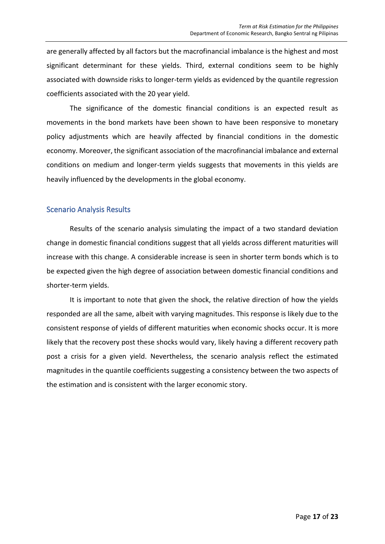are generally affected by all factors but the macrofinancial imbalance is the highest and most significant determinant for these yields. Third, external conditions seem to be highly associated with downside risks to longer-term yields as evidenced by the quantile regression coefficients associated with the 20 year yield.

The significance of the domestic financial conditions is an expected result as movements in the bond markets have been shown to have been responsive to monetary policy adjustments which are heavily affected by financial conditions in the domestic economy. Moreover, the significant association of the macrofinancial imbalance and external conditions on medium and longer-term yields suggests that movements in this yields are heavily influenced by the developments in the global economy.

#### Scenario Analysis Results

Results of the scenario analysis simulating the impact of a two standard deviation change in domestic financial conditions suggest that all yields across different maturities will increase with this change. A considerable increase is seen in shorter term bonds which is to be expected given the high degree of association between domestic financial conditions and shorter-term yields.

It is important to note that given the shock, the relative direction of how the yields responded are all the same, albeit with varying magnitudes. This response is likely due to the consistent response of yields of different maturities when economic shocks occur. It is more likely that the recovery post these shocks would vary, likely having a different recovery path post a crisis for a given yield. Nevertheless, the scenario analysis reflect the estimated magnitudes in the quantile coefficients suggesting a consistency between the two aspects of the estimation and is consistent with the larger economic story.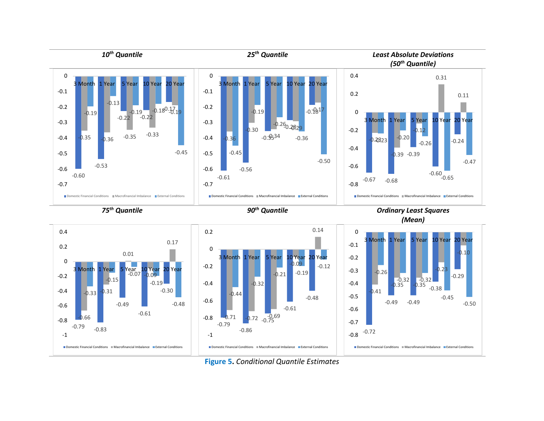

**Figure 5.** *Conditional Quantile Estimates*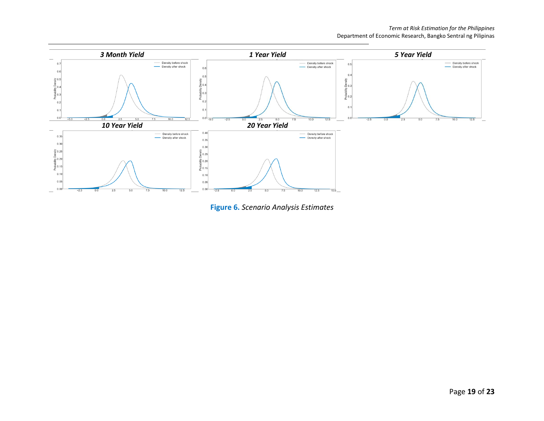

**Figure 6.** *Scenario Analysis Estimates*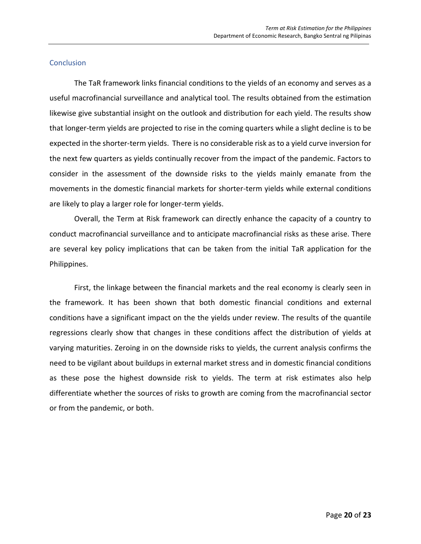#### **Conclusion**

<span id="page-19-0"></span>The TaR framework links financial conditions to the yields of an economy and serves as a useful macrofinancial surveillance and analytical tool. The results obtained from the estimation likewise give substantial insight on the outlook and distribution for each yield. The results show that longer-term yields are projected to rise in the coming quarters while a slight decline is to be expected in the shorter-term yields. There is no considerable risk as to a yield curve inversion for the next few quarters as yields continually recover from the impact of the pandemic. Factors to consider in the assessment of the downside risks to the yields mainly emanate from the movements in the domestic financial markets for shorter-term yields while external conditions are likely to play a larger role for longer-term yields.

Overall, the Term at Risk framework can directly enhance the capacity of a country to conduct macrofinancial surveillance and to anticipate macrofinancial risks as these arise. There are several key policy implications that can be taken from the initial TaR application for the Philippines.

First, the linkage between the financial markets and the real economy is clearly seen in the framework. It has been shown that both domestic financial conditions and external conditions have a significant impact on the the yields under review. The results of the quantile regressions clearly show that changes in these conditions affect the distribution of yields at varying maturities. Zeroing in on the downside risks to yields, the current analysis confirms the need to be vigilant about buildups in external market stress and in domestic financial conditions as these pose the highest downside risk to yields. The term at risk estimates also help differentiate whether the sources of risks to growth are coming from the macrofinancial sector or from the pandemic, or both.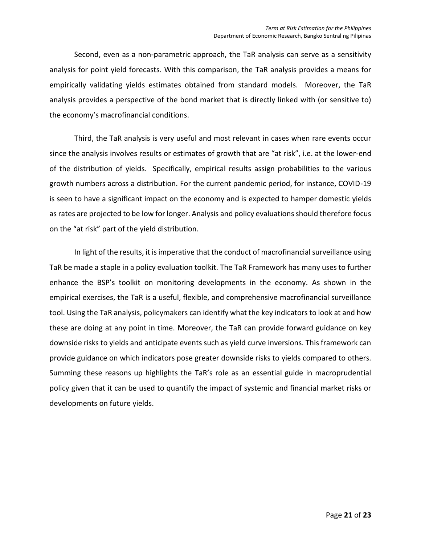Second, even as a non-parametric approach, the TaR analysis can serve as a sensitivity analysis for point yield forecasts. With this comparison, the TaR analysis provides a means for empirically validating yields estimates obtained from standard models. Moreover, the TaR analysis provides a perspective of the bond market that is directly linked with (or sensitive to) the economy's macrofinancial conditions.

Third, the TaR analysis is very useful and most relevant in cases when rare events occur since the analysis involves results or estimates of growth that are "at risk", i.e. at the lower-end of the distribution of yields. Specifically, empirical results assign probabilities to the various growth numbers across a distribution. For the current pandemic period, for instance, COVID-19 is seen to have a significant impact on the economy and is expected to hamper domestic yields as rates are projected to be low for longer. Analysis and policy evaluations should therefore focus on the "at risk" part of the yield distribution.

In light of the results, it is imperative that the conduct of macrofinancial surveillance using TaR be made a staple in a policy evaluation toolkit. The TaR Framework has many uses to further enhance the BSP's toolkit on monitoring developments in the economy. As shown in the empirical exercises, the TaR is a useful, flexible, and comprehensive macrofinancial surveillance tool. Using the TaR analysis, policymakers can identify what the key indicators to look at and how these are doing at any point in time. Moreover, the TaR can provide forward guidance on key downside risks to yields and anticipate events such as yield curve inversions. This framework can provide guidance on which indicators pose greater downside risks to yields compared to others. Summing these reasons up highlights the TaR's role as an essential guide in macroprudential policy given that it can be used to quantify the impact of systemic and financial market risks or developments on future yields.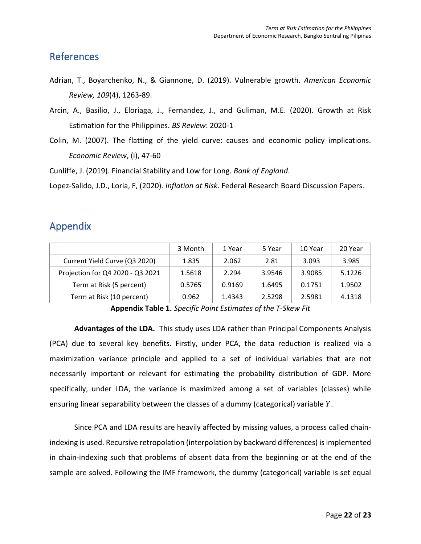### **References**

- Adrian, T., Boyarchenko, N., & Giannone, D. (2019). Vulnerable growth. *American Economic Review, 109*(4), 1263-89.
- Arcin, A., Basilio, J., Eloriaga, J., Fernandez, J., and Guliman, M.E. (2020). Growth at Risk Estimation for the Philippines. *BS Review*: 2020-1
- Colin, M. (2007). The flatting of the yield curve: causes and economic policy implications. *Economic Review*, (i), 47-60

Cunliffe, J. (2019). Financial Stability and Low for Long. *Bank of England*.

Lopez-Salido, J.D., Loria, F, (2020). *Inflation at Risk*. Federal Research Board Discussion Papers.

### Appendix

<span id="page-21-0"></span>

|                                  | 3 Month | 1 Year | 5 Year | 10 Year | 20 Year |
|----------------------------------|---------|--------|--------|---------|---------|
| Current Yield Curve (Q3 2020)    | 1.835   | 2.062  | 2.81   | 3.093   | 3.985   |
| Projection for Q4 2020 - Q3 2021 | 1.5618  | 2.294  | 3.9546 | 3.9085  | 5.1226  |
| Term at Risk (5 percent)         | 0.5765  | 0.9169 | 1.6495 | 0.1751  | 1.9502  |
| Term at Risk (10 percent)        | 0.962   | 1.4343 | 2.5298 | 2.5981  | 4.1318  |

**Appendix Table 1.** *Specific Point Estimates of the T-Skew Fit*

**Advantages of the LDA.** This study uses LDA rather than Principal Components Analysis (PCA) due to several key benefits. Firstly, under PCA, the data reduction is realized via a maximization variance principle and applied to a set of individual variables that are not necessarily important or relevant for estimating the probability distribution of GDP. More specifically, under LDA, the variance is maximized among a set of variables (classes) while ensuring linear separability between the classes of a dummy (categorical) variable  $Y$ .

Since PCA and LDA results are heavily affected by missing values, a process called chainindexing is used. Recursive retropolation (interpolation by backward differences) is implemented in chain-indexing such that problems of absent data from the beginning or at the end of the sample are solved. Following the IMF framework, the dummy (categorical) variable is set equal